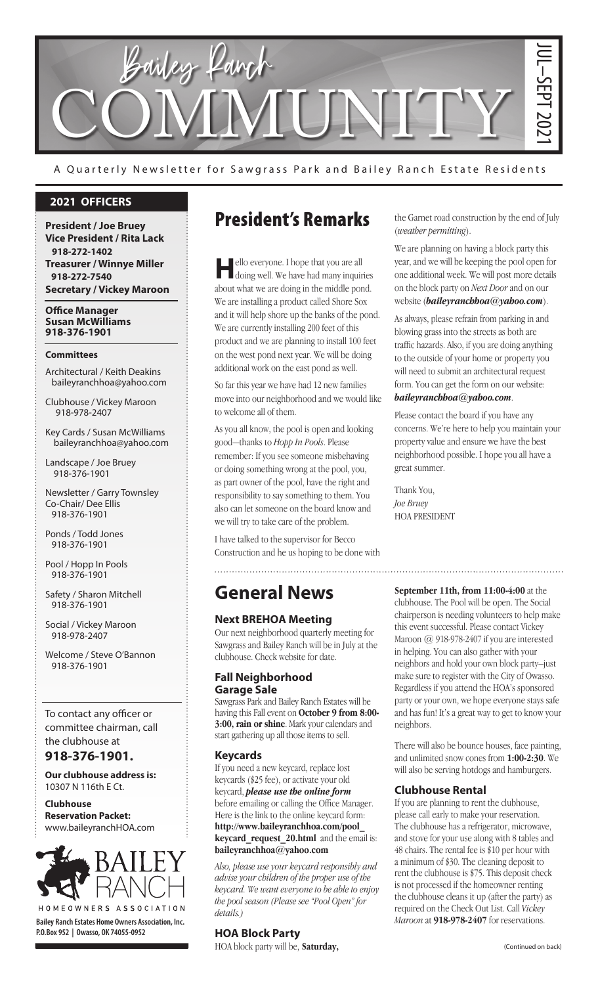

A Quarterly Newsletter for Sawgrass Park and Bailey Ranch Estate Residents

### **2021 OFFICERS**

**President / Joe Bruey Vice President / Rita Lack 918-272-1402 Treasurer / Winnye Miller 918-272-7540 Secretary / Vickey Maroon**

**Office Manager Susan McWilliams 918-376-1901**

#### **Committees**

Architectural / Keith Deakins baileyranchhoa@yahoo.com

Clubhouse / Vickey Maroon 918-978-2407

Key Cards / Susan McWilliams baileyranchhoa@yahoo.com

Landscape / Joe Bruey 918-376-1901

Newsletter / Garry Townsley Co-Chair/ Dee Ellis 918-376-1901

Ponds / Todd Jones 918-376-1901

Pool / Hopp In Pools 918-376-1901

Safety / Sharon Mitchell 918-376-1901

Social / Vickey Maroon 918-978-2407

Welcome / Steve O'Bannon 918-376-1901

To contact any officer or committee chairman, call the clubhouse at

**918-376-1901.**

**Our clubhouse address is:**  10307 N 116th E Ct.

**Clubhouse Reservation Packet:**  www.baileyranchHOA.com



**Bailey Ranch Estates Home Owners Association, Inc. P.O.Box 952 | Owasso, OK 74055-0952**

## President's Remarks

**H**ello everyone. I hope that you are all doing well. We have had many inquiries about what we are doing in the middle pond. We are installing a product called Shore Sox and it will help shore up the banks of the pond. We are currently installing 200 feet of this product and we are planning to install 100 feet on the west pond next year. We will be doing additional work on the east pond as well.

So far this year we have had 12 new families move into our neighborhood and we would like to welcome all of them.

As you all know, the pool is open and looking good—thanks to *Hopp In Pools*. Please remember: If you see someone misbehaving or doing something wrong at the pool, you, as part owner of the pool, have the right and responsibility to say something to them. You also can let someone on the board know and we will try to take care of the problem.

I have talked to the supervisor for Becco Construction and he us hoping to be done with

## **General News**

### **Next BREHOA Meeting**

Our next neighborhood quarterly meeting for Sawgrass and Bailey Ranch will be in July at the clubhouse. Check website for date.

### **Fall Neighborhood Garage Sale**

Sawgrass Park and Bailey Ranch Estates will be having this Fall event on **October 9 from 8:00- 3:00, rain or shine**. Mark your calendars and start gathering up all those items to sell.

### **Keycards**

If you need a new keycard, replace lost keycards (\$25 fee), or activate your old keycard, *please use the online form* before emailing or calling the Office Manager. Here is the link to the online keycard form: **http://www.baileyranchhoa.com/pool\_ keycard** request 20.html and the email is: **baileyranchhoa@yahoo.com**

*Also, please use your keycard responsibly and advise your children of the proper use of the keycard. We want everyone to be able to enjoy the pool season (Please see "Pool Open" for details.)*

### **HOA Block Party**

HOA block party will be, **Saturday,** 

the Garnet road construction by the end of July (*weather permitting*).

We are planning on having a block party this year, and we will be keeping the pool open for one additional week. We will post more details on the block party on *Next Door* and on our website (*baileyranchhoa@yahoo.com*).

As always, please refrain from parking in and blowing grass into the streets as both are traffic hazards. Also, if you are doing anything to the outside of your home or property you will need to submit an architectural request form. You can get the form on our website: *baileyranchhoa@yahoo.com*.

Please contact the board if you have any concerns. We're here to help you maintain your property value and ensure we have the best neighborhood possible. I hope you all have a great summer.

Thank You, *Joe Bruey* HOA PRESIDENT

(Continued on back)<br>
(Continued on back)<br>
(Continued on the server of the server of the server of the server of the server of the server of the server of the server of the server of the server of the server of the server o **September 11th, from 11:00-4:00** at the clubhouse. The Pool will be open. The Social chairperson is needing volunteers to help make this event successful. Please contact Vickey Maroon @ 918-978-2407 if you are interested in helping. You can also gather with your neighbors and hold your own block party–just make sure to register with the City of Owasso. Regardless if you attend the HOA's sponsored party or your own, we hope everyone stays safe and has fun! It's a great way to get to know your neighbors.

There will also be bounce houses, face painting, and unlimited snow cones from **1:00-2:30**. We will also be serving hotdogs and hamburgers.

### **Clubhouse Rental**

If you are planning to rent the clubhouse, please call early to make your reservation. The clubhouse has a refrigerator, microwave, and stove for your use along with 8 tables and 48 chairs. The rental fee is \$10 per hour with a minimum of \$30. The cleaning deposit to rent the clubhouse is \$75. This deposit check is not processed if the homeowner renting the clubhouse cleans it up (after the party) as required on the Check Out List. Call *Vickey Maroon* at **918-978-2407** for reservations.